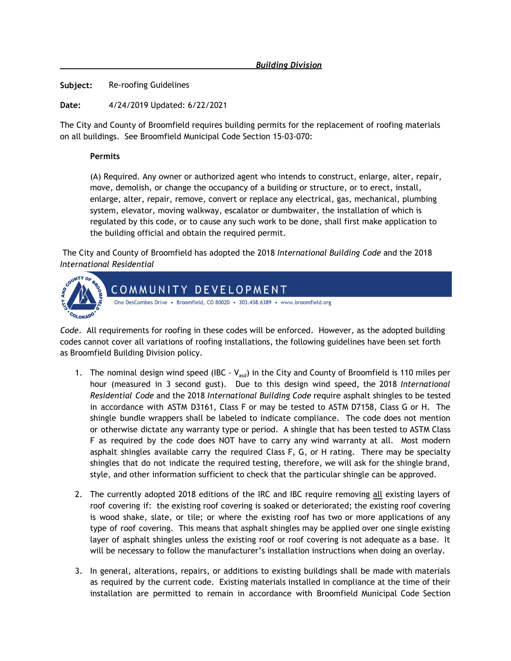*Building Division*

**Subject:** Re-roofing Guidelines

**Date:** 4/24/2019 Updated: 6/22/2021

The City and County of Broomfield requires building permits for the replacement of roofing materials on all buildings. See Broomfield Municipal Code Section 15-03-070:

## **Permits**

(A) Required. Any owner or authorized agent who intends to construct, enlarge, alter, repair, move, demolish, or change the occupancy of a building or structure, or to erect, install, enlarge, alter, repair, remove, convert or replace any electrical, gas, mechanical, plumbing system, elevator, moving walkway, escalator or dumbwaiter, the installation of which is regulated by this code, or to cause any such work to be done, shall first make application to the building official and obtain the required permit.

The City and County of Broomfield has adopted the 2018 *International Building Code* and the 2018 *International Residential*



*Code*. All requirements for roofing in these codes will be enforced. However, as the adopted building codes cannot cover all variations of roofing installations, the following guidelines have been set forth as Broomfield Building Division policy.

- 1. The nominal design wind speed (IBC  $V_{\text{asd}}$ ) in the City and County of Broomfield is 110 miles per hour (measured in 3 second gust). Due to this design wind speed, the 2018 *International Residential Code* and the 2018 *International Building Code* require asphalt shingles to be tested in accordance with ASTM D3161, Class F or may be tested to ASTM D7158, Class G or H. The shingle bundle wrappers shall be labeled to indicate compliance. The code does not mention or otherwise dictate any warranty type or period. A shingle that has been tested to ASTM Class F as required by the code does NOT have to carry any wind warranty at all. Most modern asphalt shingles available carry the required Class F, G, or H rating. There may be specialty shingles that do not indicate the required testing, therefore, we will ask for the shingle brand, style, and other information sufficient to check that the particular shingle can be approved.
- 2. The currently adopted 2018 editions of the IRC and IBC require removing all existing layers of roof covering if: the existing roof covering is soaked or deteriorated; the existing roof covering is wood shake, slate, or tile; or where the existing roof has two or more applications of any type of roof covering. This means that asphalt shingles may be applied over one single existing layer of asphalt shingles unless the existing roof or roof covering is not adequate as a base. It will be necessary to follow the manufacturer's installation instructions when doing an overlay.
- 3. In general, alterations, repairs, or additions to existing buildings shall be made with materials as required by the current code. Existing materials installed in compliance at the time of their installation are permitted to remain in accordance with Broomfield Municipal Code Section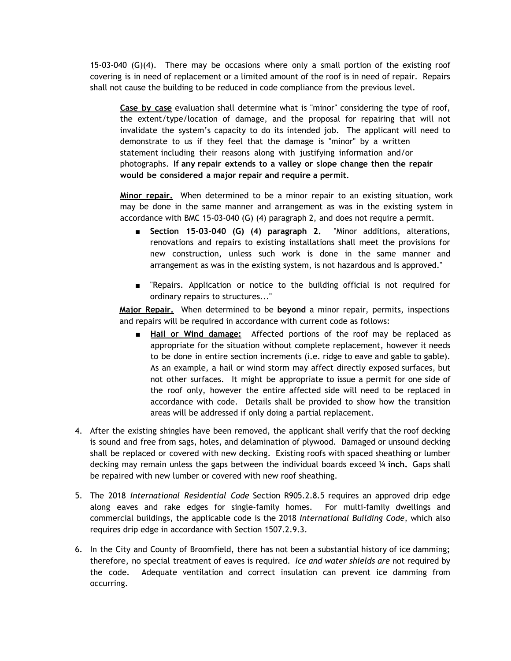15-03-040 (G)(4). There may be occasions where only a small portion of the existing roof covering is in need of replacement or a limited amount of the roof is in need of repair. Repairs shall not cause the building to be reduced in code compliance from the previous level.

**Case by case** evaluation shall determine what is "minor" considering the type of roof, the extent/type/location of damage, and the proposal for repairing that will not invalidate the system's capacity to do its intended job. The applicant will need to demonstrate to us if they feel that the damage is "minor" by a written statement including their reasons along with justifying information and/or photographs. **If any repair extends to a valley or slope change then the repair would be considered a major repair and require a permit**.

**Minor repair.** When determined to be a minor repair to an existing situation, work may be done in the same manner and arrangement as was in the existing system in accordance with BMC 15-03-040 (G) (4) paragraph 2, and does not require a permit.

- **Section 15-03-040 (G) (4) paragraph 2.** "Minor additions, alterations, renovations and repairs to existing installations shall meet the provisions for new construction, unless such work is done in the same manner and arrangement as was in the existing system, is not hazardous and is approved."
- "Repairs. Application or notice to the building official is not required for ordinary repairs to structures..."

**Major Repair.** When determined to be **beyond** a minor repair, permits, inspections and repairs will be required in accordance with current code as follows:

- Hail or Wind damage: Affected portions of the roof may be replaced as appropriate for the situation without complete replacement, however it needs to be done in entire section increments (i.e. ridge to eave and gable to gable). As an example, a hail or wind storm may affect directly exposed surfaces, but not other surfaces. It might be appropriate to issue a permit for one side of the roof only, however the entire affected side will need to be replaced in accordance with code. Details shall be provided to show how the transition areas will be addressed if only doing a partial replacement.
- 4. After the existing shingles have been removed, the applicant shall verify that the roof decking is sound and free from sags, holes, and delamination of plywood. Damaged or unsound decking shall be replaced or covered with new decking. Existing roofs with spaced sheathing or lumber decking may remain unless the gaps between the individual boards exceed **¼ inch.** Gaps shall be repaired with new lumber or covered with new roof sheathing.
- 5. The 2018 *International Residential Code* Section R905.2.8.5 requires an approved drip edge along eaves and rake edges for single-family homes. For multi-family dwellings and commercial buildings, the applicable code is the 2018 *International Building Code*, which also requires drip edge in accordance with Section 1507.2.9.3.
- 6. In the City and County of Broomfield, there has not been a substantial history of ice damming; therefore, no special treatment of eaves is required. *Ice and water shields are* not required by the code. Adequate ventilation and correct insulation can prevent ice damming from occurring.